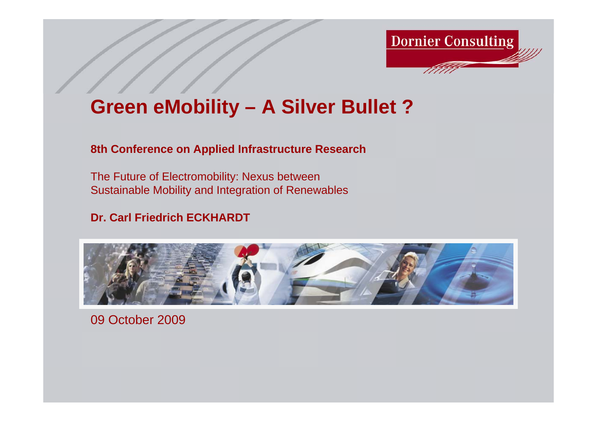

# **Green eMobility – A Silver Bullet ?**

#### **8th Conference on Applied Infrastructure Research**

The Future of Electromobility: Nexus between Sustainable Mobility and Integration of Renewables

### **Dr. Carl Friedrich ECKHARDT**



09 October 2009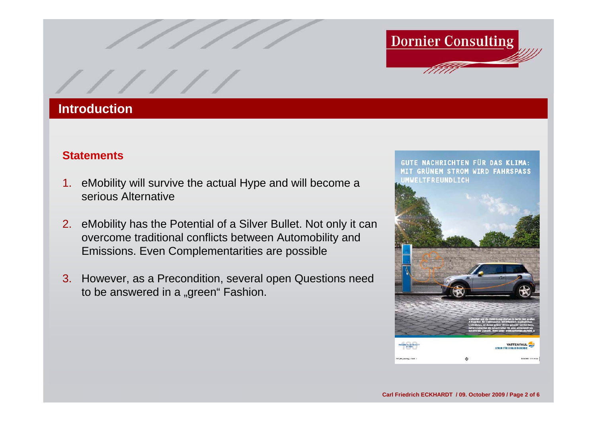

#### **Introduction**

#### **Statements**

- 1. eMobility will survive the actual Hype and will become <sup>a</sup> serious Alternative
- 2. eMobility has the Potential of a Silver Bullet. Not only it can overcome traditional conflicts between Automobility and Emissions. Even Complementarities are possible
- 3. However, as a Precondition, several open Questions need to be answered in a "green" Fashion.

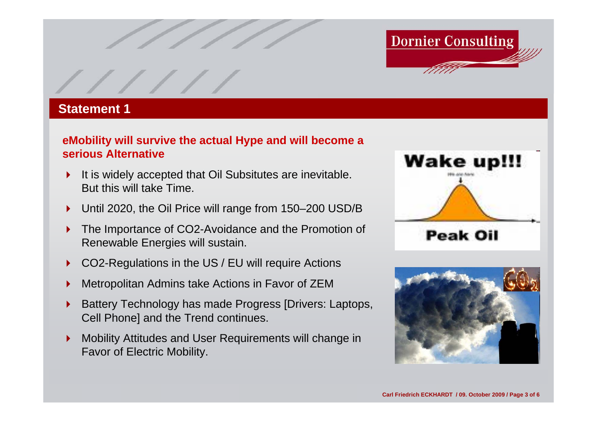

#### **Statement 1**

#### **eMobility will survive the actual Hype and will become <sup>a</sup> serious Alternative**

- $\blacktriangleright$  It is widely accepted that Oil Subsitutes are inevitable. But this will take Time.
- $\blacktriangleright$ Until 2020, the Oil Price will range from 150–200 USD/B
- $\blacktriangleright$  The Importance of CO2-Avoidance and the Promotion of Renewable Energies will sustain.
- $\blacktriangleright$ CO2-Regulations in the US / EU will require Actions
- $\blacktriangleright$ Metropolitan Admins take Actions in Favor of ZEM
- $\blacktriangleright$  Battery Technology has made Progress [Drivers: Laptops, Cell Phone] and the Trend continues.
- $\blacktriangleright$  Mobility Attitudes and User Requirements will change in Favor of Electric Mobility.



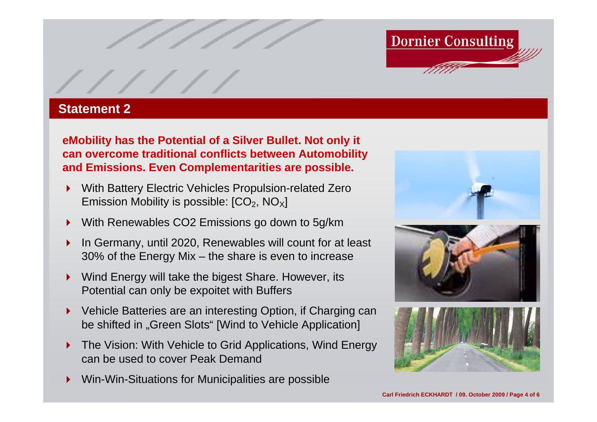

#### **Statement 2**

**eMobility has the Potential of a Silver Bullet. Not only it can overcome traditional conflicts between Automobility and Emissions. Even Complementarities are possible.**

- $\blacktriangleright$  With Battery Electric Vehicles Propulsion-related Zero Emission Mobility is possible:  $[CO<sub>2</sub>, NO<sub>X</sub>]$
- $\blacktriangleright$ With Renewables CO2 Emissions go down to 5g/km
- $\blacktriangleright$  In Germany, until 2020, Renewables will count for at least 30% of the Energy Mix – the share is even to increase
- $\blacktriangleright$  Wind Energy will take the bigest Share. However, its Potential can only be expoitet with Buffers
- $\blacktriangleright$  Vehicle Batteries are an interesting Option, if Charging can be shifted in "Green Slots" [Wind to Vehicle Application]
- $\blacktriangleright$  The Vision: With Vehicle to Grid Applications, Wind Energy can be used to cover Peak Demand
- $\blacktriangleright$ Win-Win-Situations for Municipalities are possible





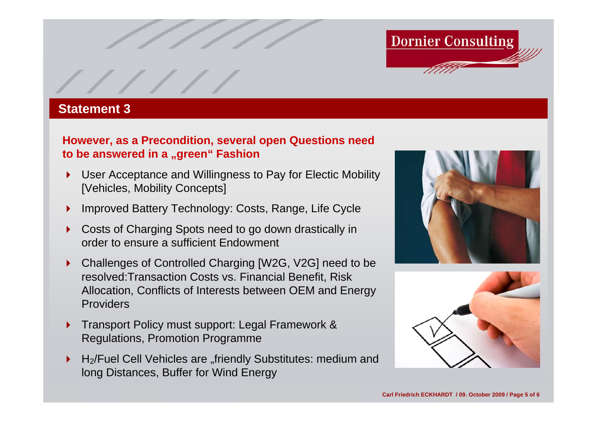

#### **Statement 3**

#### **However, as a Precondition, several open Questions need to be answered in a "green" Fashion**

- $\blacktriangleright$  User Acceptance and Willingness to Pay for Electic Mobility [Vehicles, Mobility Concepts]
- ▶ Improved Battery Technology: Costs, Range, Life Cycle
- ▶ Costs of Charging Spots need to go down drastically in order to ensure a sufficient Endowment
- $\blacktriangleright$  Challenges of Controlled Charging [W2G, V2G] need to be resolved:Transaction Costs vs. Financial Benefit, Risk Allocation, Conflicts of Interests between OEM and Energy Providers
- $\blacktriangleright$  Transport Policy must support: Legal Framework & Regulations, Promotion Programme
- $\blacktriangleright$ H<sub>2</sub>/Fuel Cell Vehicles are "friendly Substitutes: medium and long Distances, Buffer for Wind Energy